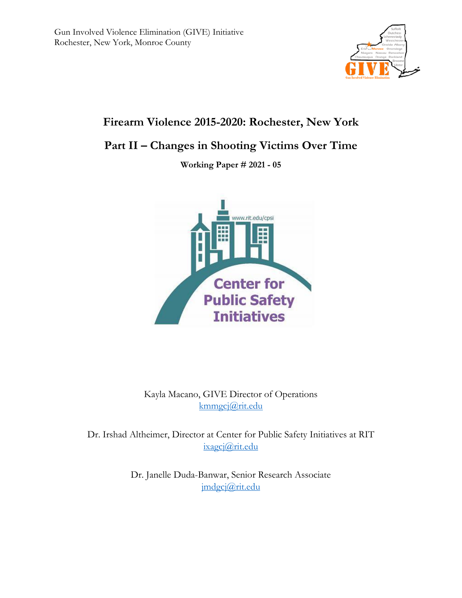

# **Firearm Violence 2015-2020: Rochester, New York**

## **Part II – Changes in Shooting Victims Over Time**

**Working Paper # 2021 - 05**



Kayla Macano, GIVE Director of Operations [kmmgcj@rit.edu](mailto:kmmgcj@rit.edu)

Dr. Irshad Altheimer, Director at Center for Public Safety Initiatives at RIT [ixagcj@rit.edu](mailto:ixagcj@rit.edu)

> Dr. Janelle Duda-Banwar, Senior Research Associate [jmdgcj@rit.edu](mailto:jmdgcj@rit.edu)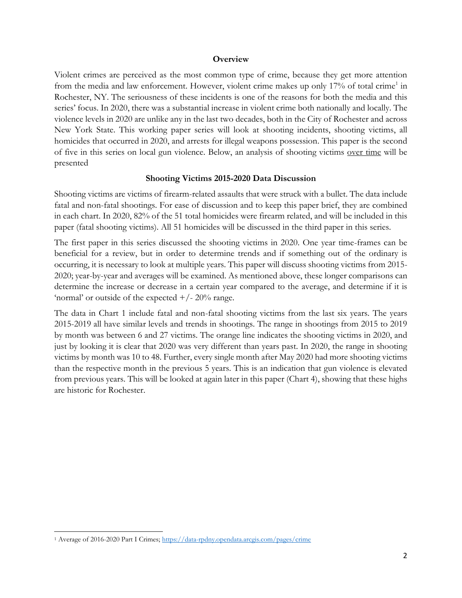#### **Overview**

Violent crimes are perceived as the most common type of crime, because they get more attention from the media and law enforcement. However, violent crime makes up only 17% of total crime<sup>1</sup> in Rochester, NY. The seriousness of these incidents is one of the reasons for both the media and this series' focus. In 2020, there was a substantial increase in violent crime both nationally and locally. The violence levels in 2020 are unlike any in the last two decades, both in the City of Rochester and across New York State. This working paper series will look at shooting incidents, shooting victims, all homicides that occurred in 2020, and arrests for illegal weapons possession. This paper is the second of five in this series on local gun violence. Below, an analysis of shooting victims over time will be presented

## **Shooting Victims 2015-2020 Data Discussion**

Shooting victims are victims of firearm-related assaults that were struck with a bullet. The data include fatal and non-fatal shootings. For ease of discussion and to keep this paper brief, they are combined in each chart. In 2020, 82% of the 51 total homicides were firearm related, and will be included in this paper (fatal shooting victims). All 51 homicides will be discussed in the third paper in this series.

The first paper in this series discussed the shooting victims in 2020. One year time-frames can be beneficial for a review, but in order to determine trends and if something out of the ordinary is occurring, it is necessary to look at multiple years. This paper will discuss shooting victims from 2015- 2020; year-by-year and averages will be examined. As mentioned above, these longer comparisons can determine the increase or decrease in a certain year compared to the average, and determine if it is 'normal' or outside of the expected  $+/- 20\%$  range.

The data in Chart 1 include fatal and non-fatal shooting victims from the last six years. The years 2015-2019 all have similar levels and trends in shootings. The range in shootings from 2015 to 2019 by month was between 6 and 27 victims. The orange line indicates the shooting victims in 2020, and just by looking it is clear that 2020 was very different than years past. In 2020, the range in shooting victims by month was 10 to 48. Further, every single month after May 2020 had more shooting victims than the respective month in the previous 5 years. This is an indication that gun violence is elevated from previous years. This will be looked at again later in this paper (Chart 4), showing that these highs are historic for Rochester.

 $\overline{a}$ <sup>1</sup> Average of 2016-2020 Part I Crimes[; https://data-rpdny.opendata.arcgis.com/pages/crime](https://data-rpdny.opendata.arcgis.com/pages/crime)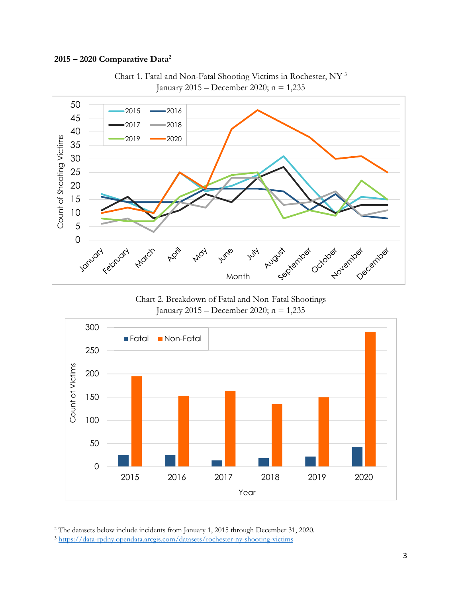## **– 2020 Comparative Data<sup>2</sup>**



Chart 1. Fatal and Non-Fatal Shooting Victims in Rochester, NY <sup>3</sup> January 2015 – December 2020; n = 1,235

Chart 2. Breakdown of Fatal and Non-Fatal Shootings January 2015 – December 2020; n = 1,235



 $\overline{a}$ <sup>2</sup> The datasets below include incidents from January 1, 2015 through December 31, 2020.

<https://data-rpdny.opendata.arcgis.com/datasets/rochester-ny-shooting-victims>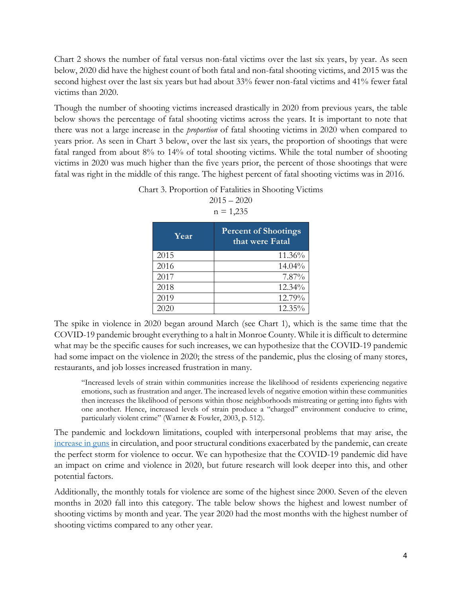Chart 2 shows the number of fatal versus non-fatal victims over the last six years, by year. As seen below, 2020 did have the highest count of both fatal and non-fatal shooting victims, and 2015 was the second highest over the last six years but had about 33% fewer non-fatal victims and 41% fewer fatal victims than 2020.

Though the number of shooting victims increased drastically in 2020 from previous years, the table below shows the percentage of fatal shooting victims across the years. It is important to note that there was not a large increase in the *proportion* of fatal shooting victims in 2020 when compared to years prior. As seen in Chart 3 below, over the last six years, the proportion of shootings that were fatal ranged from about 8% to 14% of total shooting victims. While the total number of shooting victims in 2020 was much higher than the five years prior, the percent of those shootings that were fatal was right in the middle of this range. The highest percent of fatal shooting victims was in 2016.

| $n = 1,235$ |                                                |  |  |
|-------------|------------------------------------------------|--|--|
| Year        | <b>Percent of Shootings</b><br>that were Fatal |  |  |
| 2015        | 11.36%                                         |  |  |
| 2016        | 14.04%                                         |  |  |
| 2017        | 7.87%                                          |  |  |
| 2018        | 12.34%                                         |  |  |
| 2019        | 12.79%                                         |  |  |
|             | 12.35%                                         |  |  |

Chart 3. Proportion of Fatalities in Shooting Victims  $2015 - 2020$ 

The spike in violence in 2020 began around March (see Chart 1), which is the same time that the COVID-19 pandemic brought everything to a halt in Monroe County. While it is difficult to determine what may be the specific causes for such increases, we can hypothesize that the COVID-19 pandemic had some impact on the violence in 2020; the stress of the pandemic, plus the closing of many stores, restaurants, and job losses increased frustration in many.

"Increased levels of strain within communities increase the likelihood of residents experiencing negative emotions, such as frustration and anger. The increased levels of negative emotion within these communities then increases the likelihood of persons within those neighborhoods mistreating or getting into fights with one another. Hence, increased levels of strain produce a ''charged'' environment conducive to crime, particularly violent crime" (Warner & Fowler, 2003, p. 512).

The pandemic and lockdown limitations, coupled with interpersonal problems that may arise, the [increase in guns](https://www.fbi.gov/file-repository/nics_firearm_checks_-_month_year.pdf/view) in circulation, and poor structural conditions exacerbated by the pandemic, can create the perfect storm for violence to occur. We can hypothesize that the COVID-19 pandemic did have an impact on crime and violence in 2020, but future research will look deeper into this, and other potential factors.

Additionally, the monthly totals for violence are some of the highest since 2000. Seven of the eleven months in 2020 fall into this category. The table below shows the highest and lowest number of shooting victims by month and year. The year 2020 had the most months with the highest number of shooting victims compared to any other year.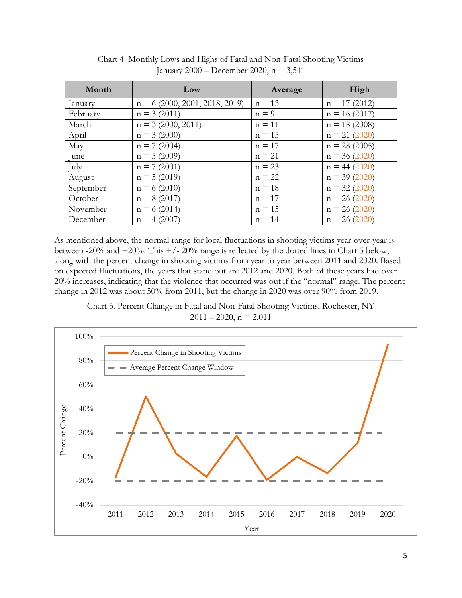| Month         | Low                             | Average  | High            |
|---------------|---------------------------------|----------|-----------------|
| <i>anuary</i> | $n = 6(2000, 2001, 2018, 2019)$ | $n = 13$ | $n = 17(2012)$  |
| February      | $n = 3(2011)$                   | $n = 9$  | $n = 16(2017)$  |
| March         | $n = 3(2000, 2011)$             | $n = 11$ | $n = 18(2008)$  |
| April         | $n = 3 (2000)$                  | $n = 15$ | $n = 21 (2020)$ |
| May           | $n = 7(2004)$                   | $n = 17$ | $n = 28(2005)$  |
| June          | $n = 5(2009)$                   | $n = 21$ | $n = 36(2020)$  |
| July          | $n = 7(2001)$                   | $n = 23$ | $n = 44 (2020)$ |
| August        | $n = 5(2019)$                   | $n = 22$ | $n = 39(2020)$  |
| September     | $n = 6(2010)$                   | $n = 18$ | $n = 32 (2020)$ |
| October       | $n = 8(2017)$                   | $n = 17$ | $n = 26 (2020)$ |
| November      | $n = 6(2014)$                   | $n = 15$ | $n = 26 (2020)$ |
| December      | $n = 4 (2007)$                  | $n = 14$ | $n = 26 (2020)$ |

Chart 4. Monthly Lows and Highs of Fatal and Non-Fatal Shooting Victims January 2000 – December 2020, n = 3,541

As mentioned above, the normal range for local fluctuations in shooting victims year-over-year is between -20% and  $+20\%$ . This  $+/-20\%$  range is reflected by the dotted lines in Chart 5 below, along with the percent change in shooting victims from year to year between 2011 and 2020. Based on expected fluctuations, the years that stand out are 2012 and 2020. Both of these years had over 20% increases, indicating that the violence that occurred was out if the "normal" range. The percent change in 2012 was about 50% from 2011, but the change in 2020 was over 90% from 2019.

Chart 5. Percent Change in Fatal and Non-Fatal Shooting Victims, Rochester, NY  $2011 - 2020$ , n = 2,011